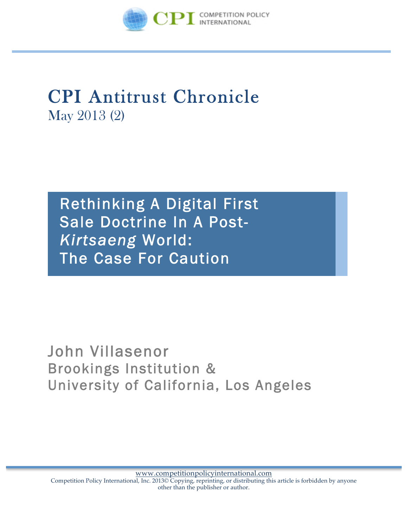

# CPI Antitrust Chronicle May 2013 (2)

Rethinking A Digital First Sale Doctrine In A Post-*Kirtsaeng* World: The Case For Caution

John Villasenor Brookings Institution & University of California, Los Angeles

www.competitionpolicyinternational.com Competition Policy International, Inc. 2013© Copying, reprinting, or distributing this article is forbidden by anyone other than the publisher or author.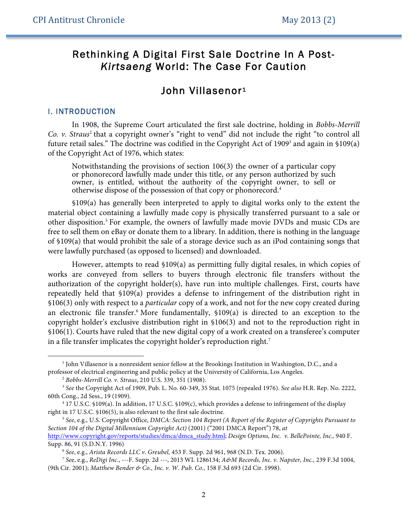# Rethinking A Digital First Sale Doctrine In A Post-*Kirtsaeng* World: The Case For Caution

# John Villasenor<sup>1</sup>

#### I. INTRODUCTION

 $\ddot{ }$ 

In 1908, the Supreme Court articulated the first sale doctrine, holding in *Bobbs-Merrill Co. v. Straus<sup>2</sup>* that a copyright owner's "right to vend" did not include the right "to control all future retail sales." The doctrine was codified in the Copyright Act of 1909<sup>3</sup> and again in §109(a) of the Copyright Act of 1976, which states:

Notwithstanding the provisions of section 106(3) the owner of a particular copy or phonorecord lawfully made under this title, or any person authorized by such owner, is entitled, without the authority of the copyright owner, to sell or otherwise dispose of the possession of that copy or phonorecord.4

§109(a) has generally been interpreted to apply to digital works only to the extent the material object containing a lawfully made copy is physically transferred pursuant to a sale or other disposition.5 For example, the owners of lawfully made movie DVDs and music CDs are free to sell them on eBay or donate them to a library. In addition, there is nothing in the language of §109(a) that would prohibit the sale of a storage device such as an iPod containing songs that were lawfully purchased (as opposed to licensed) and downloaded.

However, attempts to read §109(a) as permitting fully digital resales, in which copies of works are conveyed from sellers to buyers through electronic file transfers without the authorization of the copyright holder(s), have run into multiple challenges. First, courts have repeatedly held that §109(a) provides a defense to infringement of the distribution right in §106(3) only with respect to a *particular* copy of a work, and not for the new copy created during an electronic file transfer.6 More fundamentally, §109(a) is directed to an exception to the copyright holder's exclusive distribution right in §106(3) and not to the reproduction right in §106(1). Courts have ruled that the new digital copy of a work created on a transferee's computer in a file transfer implicates the copyright holder's reproduction right.<sup>7</sup>

 $1$  John Villasenor is a nonresident senior fellow at the Brookings Institution in Washington, D.C., and a professor of electrical engineering and public policy at the University of California, Los Angeles.

<sup>2</sup> *Bobbs-Merrill Co. v. Straus*, 210 U.S. 339, 351 (1908).

<sup>3</sup> *See* the Copyright Act of 1909, Pub. L. No. 60-349, 35 Stat. 1075 (repealed 1976). *See also* H.R. Rep. No. 2222, 60th Cong., 2d Sess., 19 (1909). 4 17 U.S.C. §109(a). In addition, 17 U.S.C. §109(c), which provides a defense to infringement of the display

right in 17 U.S.C. §106(5), is also relevant to the first sale doctrine. 5 *See*, e.g., U.S. Copyright Office, *DMCA: Section 104 Report (A Report of the Register of Copyrights Pursuant to* 

*Section 104 of the Digital Millennium Copyright Act)* (2001) ("2001 DMCA Report") 78, *at*  http://www.copyright.gov/reports/studies/dmca/dmca\_study.html; *Design Options, Inc. v. BellePointe, Inc.,* 940 F. Supp. 86, 91 (S.D.N.Y. 1996)

<sup>&</sup>lt;sup>6</sup> See, e.g., Arista Records LLC v. Greubel, 453 F. Supp. 2d 961, 968 (N.D. Tex. 2006).<br><sup>7</sup> See, e.g., ReDigi Inc., ---F. Supp. 2d ---, 2013 WL 1286134; A&M Records, Inc. v. Napster, Inc., 239 F.3d 1004, (9th Cir. 2001); *Matthew Bender & Co., Inc. v. W. Pub. Co.,* 158 F.3d 693 (2d Cir. 1998).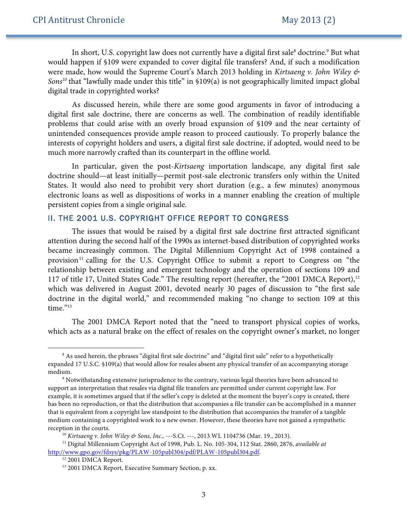In short, U.S. copyright law does not currently have a digital first sale<sup>8</sup> doctrine.<sup>9</sup> But what would happen if §109 were expanded to cover digital file transfers? And, if such a modification were made, how would the Supreme Court's March 2013 holding in *Kirtsaeng v. John Wiley & Sons10* that "lawfully made under this title" in §109(a) is not geographically limited impact global digital trade in copyrighted works?

As discussed herein, while there are some good arguments in favor of introducing a digital first sale doctrine, there are concerns as well. The combination of readily identifiable problems that could arise with an overly broad expansion of §109 and the near certainty of unintended consequences provide ample reason to proceed cautiously. To properly balance the interests of copyright holders and users, a digital first sale doctrine, if adopted, would need to be much more narrowly crafted than its counterpart in the offline world.

In particular, given the post-*Kirtsaeng* importation landscape, any digital first sale doctrine should—at least initially—permit post-sale electronic transfers only within the United States. It would also need to prohibit very short duration (e.g., a few minutes) anonymous electronic loans as well as dispositions of works in a manner enabling the creation of multiple persistent copies from a single original sale.

## II. THE 2001 U.S. COPYRIGHT OFFICE REPORT TO CONGRESS

The issues that would be raised by a digital first sale doctrine first attracted significant attention during the second half of the 1990s as internet-based distribution of copyrighted works became increasingly common. The Digital Millennium Copyright Act of 1998 contained a provision<sup>11</sup> calling for the U.S. Copyright Office to submit a report to Congress on "the relationship between existing and emergent technology and the operation of sections 109 and 117 of title 17, United States Code." The resulting report (hereafter, the "2001 DMCA Report),<sup>12</sup> which was delivered in August 2001, devoted nearly 30 pages of discussion to "the first sale doctrine in the digital world," and recommended making "no change to section 109 at this time."<sup>13</sup>

The 2001 DMCA Report noted that the "need to transport physical copies of works, which acts as a natural brake on the effect of resales on the copyright owner's market, no longer

<sup>8</sup> As used herein, the phrases "digital first sale doctrine" and "digital first sale" refer to a hypothetically expanded 17 U.S.C. §109(a) that would allow for resales absent any physical transfer of an accompanying storage medium.<br><sup>9</sup> Notwithstanding extensive jurisprudence to the contrary, various legal theories have been advanced to

support an interpretation that resales via digital file transfers are permitted under current copyright law. For example, it is sometimes argued that if the seller's copy is deleted at the moment the buyer's copy is created, there has been no reproduction, or that the distribution that accompanies a file transfer can be accomplished in a manner that is equivalent from a copyright law standpoint to the distribution that accompanies the transfer of a tangible medium containing a copyrighted work to a new owner. However, these theories have not gained a sympathetic reception in the courts. 10 *Kirtsaeng v. John Wiley & Sons, Inc.,* ---S.Ct. ---, 2013 WL 1104736 (Mar. 19., 2013).

<sup>11</sup> Digital Millennium Copyright Act of 1998, Pub. L. No. 105-304, 112 Stat. 2860, 2876, *available at* http://www.gpo.gov/fdsys/pkg/PLAW-105publ304/pdf/PLAW-105publ304.pdf.

<sup>&</sup>lt;sup>12</sup> 2001 DMCA Report.

<sup>&</sup>lt;sup>13</sup> 2001 DMCA Report, Executive Summary Section, p. xx.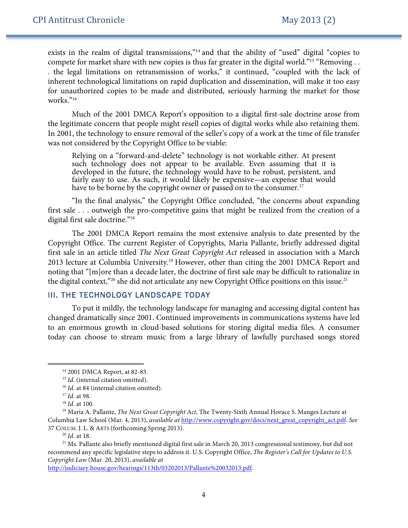exists in the realm of digital transmissions,"<sup>14</sup> and that the ability of "used" digital "copies to compete for market share with new copies is thus far greater in the digital world."<sup>15</sup> "Removing . . . the legal limitations on retransmission of works," it continued, "coupled with the lack of inherent technological limitations on rapid duplication and dissemination, will make it too easy for unauthorized copies to be made and distributed, seriously harming the market for those works."16

Much of the 2001 DMCA Report's opposition to a digital first-sale doctrine arose from the legitimate concern that people might resell copies of digital works while also retaining them. In 2001, the technology to ensure removal of the seller's copy of a work at the time of file transfer was not considered by the Copyright Office to be viable:

Relying on a "forward-and-delete" technology is not workable either. At present such technology does not appear to be available. Even assuming that it is developed in the future, the technology would have to be robust, persistent, and fairly easy to use. As such, it would likely be expensive—an expense that would have to be borne by the copyright owner or passed on to the consumer.<sup>17</sup>

"In the final analysis," the Copyright Office concluded, "the concerns about expanding first sale . . . outweigh the pro-competitive gains that might be realized from the creation of a digital first sale doctrine."18

The 2001 DMCA Report remains the most extensive analysis to date presented by the Copyright Office. The current Register of Copyrights, Maria Pallante, briefly addressed digital first sale in an article titled *The Next Great Copyright Act* released in association with a March 2013 lecture at Columbia University.<sup>19</sup> However, other than citing the 2001 DMCA Report and noting that "[m]ore than a decade later, the doctrine of first sale may be difficult to rationalize in the digital context,"<sup>20</sup> she did not articulate any new Copyright Office positions on this issue.<sup>21</sup>

# III. THE TECHNOLOGY LANDSCAPE TODAY

To put it mildly, the technology landscape for managing and accessing digital content has changed dramatically since 2001. Continued improvements in communications systems have led to an enormous growth in cloud-based solutions for storing digital media files. A consumer today can choose to stream music from a large library of lawfully purchased songs stored

 $\ddot{ }$ 

http://judiciary.house.gov/hearings/113th/03202013/Pallante%20032013.pdf.

<sup>14</sup> 2001 DMCA Report, at 82-83.

<sup>&</sup>lt;sup>15</sup> *Id.* (internal citation omitted).

<sup>&</sup>lt;sup>16</sup> *Id.* at 84 (internal citation omitted).

<sup>17</sup> *Id*. at 98.

<sup>18</sup> *Id*. at 100.

<sup>19</sup> Maria A. Pallante, *The Next Great Copyright Act*, The Twenty-Sixth Annual Horace S. Manges Lecture at Columbia Law School (Mar. 4, 2013), *available at* http://www.copyright.gov/docs/next\_great\_copyright\_act.pdf. *See* 37 COLUM. J. L. & ARTS (forthcoming Spring 2013).

<sup>20</sup> *Id.* at 18.

 $21$  Ms. Pallante also briefly mentioned digital first sale in March 20, 2013 congressional testimony, but did not recommend any specific legislative steps to address it. U.S. Copyright Office, *The Register's Call for Updates to U.S. Copyright Law* (Mar. 20, 2013), *available at*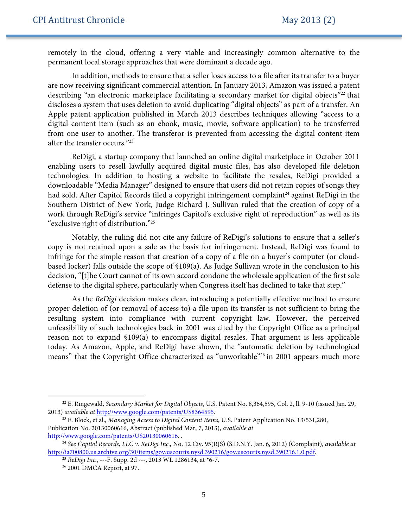remotely in the cloud, offering a very viable and increasingly common alternative to the permanent local storage approaches that were dominant a decade ago.

In addition, methods to ensure that a seller loses access to a file after its transfer to a buyer are now receiving significant commercial attention. In January 2013, Amazon was issued a patent describing "an electronic marketplace facilitating a secondary market for digital objects"<sup>22</sup> that discloses a system that uses deletion to avoid duplicating "digital objects" as part of a transfer. An Apple patent application published in March 2013 describes techniques allowing "access to a digital content item (such as an ebook, music, movie, software application) to be transferred from one user to another. The transferor is prevented from accessing the digital content item after the transfer occurs."23

ReDigi, a startup company that launched an online digital marketplace in October 2011 enabling users to resell lawfully acquired digital music files, has also developed file deletion technologies. In addition to hosting a website to facilitate the resales, ReDigi provided a downloadable "Media Manager" designed to ensure that users did not retain copies of songs they had sold. After Capitol Records filed a copyright infringement complaint<sup>24</sup> against ReDigi in the Southern District of New York, Judge Richard J. Sullivan ruled that the creation of copy of a work through ReDigi's service "infringes Capitol's exclusive right of reproduction" as well as its "exclusive right of distribution."25

Notably, the ruling did not cite any failure of ReDigi's solutions to ensure that a seller's copy is not retained upon a sale as the basis for infringement. Instead, ReDigi was found to infringe for the simple reason that creation of a copy of a file on a buyer's computer (or cloudbased locker) falls outside the scope of §109(a). As Judge Sullivan wrote in the conclusion to his decision, "[t]he Court cannot of its own accord condone the wholesale application of the first sale defense to the digital sphere, particularly when Congress itself has declined to take that step."

As the *ReDigi* decision makes clear, introducing a potentially effective method to ensure proper deletion of (or removal of access to) a file upon its transfer is not sufficient to bring the resulting system into compliance with current copyright law. However, the perceived unfeasibility of such technologies back in 2001 was cited by the Copyright Office as a principal reason not to expand §109(a) to encompass digital resales. That argument is less applicable today. As Amazon, Apple, and ReDigi have shown, the "automatic deletion by technological means" that the Copyright Office characterized as "unworkable"26 in 2001 appears much more

<sup>22</sup> E. Ringewald, *Secondary Market for Digital Objects*, U.S. Patent No. 8,364,595, Col. 2, ll. 9-10 (issued Jan. 29, 2013) *available at* http://www.google.com/patents/US8364595. 23 E. Block, et al., *Managing Access to Digital Content Items*, U.S. Patent Application No. 13/531,280,

Publication No. 20130060616, Abstract (published Mar, 7, 2013), *available at*  http://www.google.com/patents/US20130060616. .

<sup>24</sup> *See Capitol Records, LLC v. ReDigi Inc.,* No. 12 Civ. 95(RJS) (S.D.N.Y. Jan. 6, 2012) (Complaint), *available at* http://ia700800.us.archive.org/30/items/gov.uscourts.nysd.390216/gov.uscourts.nysd.390216.1.0.pdf.

<sup>25</sup> *ReDigi Inc.*, ---F. Supp. 2d ---, 2013 WL 1286134, at \*6-7. 26 2001 DMCA Report, at 97.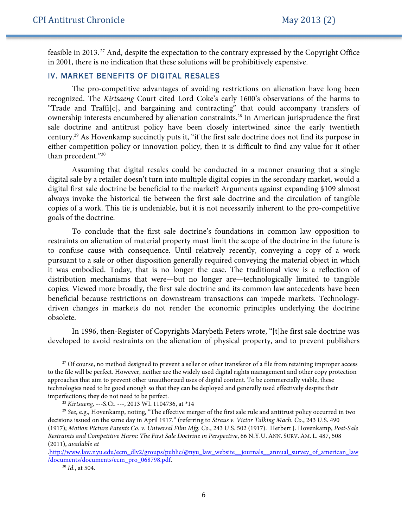feasible in 2013. <sup>27</sup> And, despite the expectation to the contrary expressed by the Copyright Office in 2001, there is no indication that these solutions will be prohibitively expensive.

# IV. MARKET BENEFITS OF DIGITAL RESALES

The pro-competitive advantages of avoiding restrictions on alienation have long been recognized. The *Kirtsaeng* Court cited Lord Coke's early 1600's observations of the harms to "Trade and Traffi[c], and bargaining and contracting" that could accompany transfers of ownership interests encumbered by alienation constraints.28 In American jurisprudence the first sale doctrine and antitrust policy have been closely intertwined since the early twentieth century.29 As Hovenkamp succinctly puts it, "if the first sale doctrine does not find its purpose in either competition policy or innovation policy, then it is difficult to find any value for it other than precedent."30

Assuming that digital resales could be conducted in a manner ensuring that a single digital sale by a retailer doesn't turn into multiple digital copies in the secondary market, would a digital first sale doctrine be beneficial to the market? Arguments against expanding §109 almost always invoke the historical tie between the first sale doctrine and the circulation of tangible copies of a work. This tie is undeniable, but it is not necessarily inherent to the pro-competitive goals of the doctrine.

To conclude that the first sale doctrine's foundations in common law opposition to restraints on alienation of material property must limit the scope of the doctrine in the future is to confuse cause with consequence. Until relatively recently, conveying a copy of a work pursuant to a sale or other disposition generally required conveying the material object in which it was embodied. Today, that is no longer the case. The traditional view is a reflection of distribution mechanisms that were—but no longer are—technologically limited to tangible copies. Viewed more broadly, the first sale doctrine and its common law antecedents have been beneficial because restrictions on downstream transactions can impede markets. Technologydriven changes in markets do not render the economic principles underlying the doctrine obsolete.

In 1996, then-Register of Copyrights Marybeth Peters wrote, "[t]he first sale doctrine was developed to avoid restraints on the alienation of physical property, and to prevent publishers

<sup>&</sup>lt;sup>27</sup> Of course, no method designed to prevent a seller or other transferor of a file from retaining improper access to the file will be perfect. However, neither are the widely used digital rights management and other copy protection approaches that aim to prevent other unauthorized uses of digital content. To be commercially viable, these technologies need to be good enough so that they can be deployed and generally used effectively despite their imperfections; they do not need to be perfect.

<sup>28</sup> *Kirtsaeng,* ---S.Ct. ---, 2013 WL 1104736, at \*14

<sup>29</sup> *See*, e.g., Hovenkamp, noting, "The effective merger of the first sale rule and antitrust policy occurred in two decisions issued on the same day in April 1917." (referring to *Straus v. Victor Talking Mach. Co.*, 243 U.S. 490 (1917); *Motion Picture Patents Co. v. Universal Film Mfg. Co.*, 243 U.S. 502 (1917). Herbert J. Hovenkamp, *Post-Sale Restraints and Competitive Harm: The First Sale Doctrine in Perspective*, 66 N.Y.U. ANN. SURV. AM. L. 487, 508 (2011), *available at* 

<sup>.</sup>http://www.law.nyu.edu/ecm\_dlv2/groups/public/@nyu\_law\_website\_\_journals\_annual\_survey\_of\_american\_law /documents/documents/ecm\_pro\_068798.pdf.

<sup>30</sup> *Id*., at 504.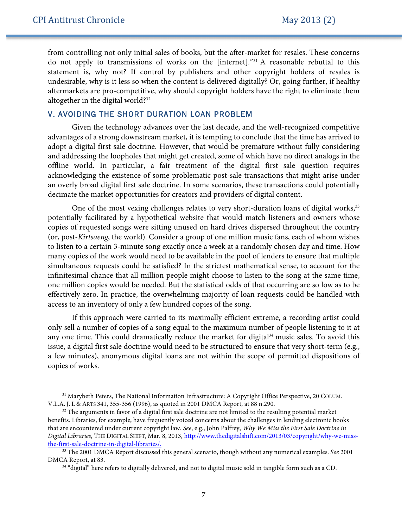$\ddot{ }$ 

from controlling not only initial sales of books, but the after-market for resales. These concerns do not apply to transmissions of works on the [internet]."31 A reasonable rebuttal to this statement is, why not? If control by publishers and other copyright holders of resales is undesirable, why is it less so when the content is delivered digitally? Or, going further, if healthy aftermarkets are pro-competitive, why should copyright holders have the right to eliminate them altogether in the digital world?32

## V. AVOIDING THE SHORT DURATION LOAN PROBLEM

Given the technology advances over the last decade, and the well-recognized competitive advantages of a strong downstream market, it is tempting to conclude that the time has arrived to adopt a digital first sale doctrine. However, that would be premature without fully considering and addressing the loopholes that might get created, some of which have no direct analogs in the offline world. In particular, a fair treatment of the digital first sale question requires acknowledging the existence of some problematic post-sale transactions that might arise under an overly broad digital first sale doctrine. In some scenarios, these transactions could potentially decimate the market opportunities for creators and providers of digital content.

One of the most vexing challenges relates to very short-duration loans of digital works,<sup>33</sup> potentially facilitated by a hypothetical website that would match listeners and owners whose copies of requested songs were sitting unused on hard drives dispersed throughout the country (or, post-*Kirtsaeng*, the world). Consider a group of one million music fans, each of whom wishes to listen to a certain 3-minute song exactly once a week at a randomly chosen day and time. How many copies of the work would need to be available in the pool of lenders to ensure that multiple simultaneous requests could be satisfied? In the strictest mathematical sense, to account for the infinitesimal chance that all million people might choose to listen to the song at the same time, one million copies would be needed. But the statistical odds of that occurring are so low as to be effectively zero. In practice, the overwhelming majority of loan requests could be handled with access to an inventory of only a few hundred copies of the song.

If this approach were carried to its maximally efficient extreme, a recording artist could only sell a number of copies of a song equal to the maximum number of people listening to it at any one time. This could dramatically reduce the market for digital<sup>34</sup> music sales. To avoid this issue, a digital first sale doctrine would need to be structured to ensure that very short-term (e.g., a few minutes), anonymous digital loans are not within the scope of permitted dispositions of copies of works.

<sup>&</sup>lt;sup>31</sup> Marybeth Peters, The National Information Infrastructure: A Copyright Office Perspective, 20 COLUM. V.L.A. J. L & ARTS 341, 355-356 (1996), as quoted in 2001 DMCA Report, at 88 n.290.

 $32$  The arguments in favor of a digital first sale doctrine are not limited to the resulting potential market benefits. Libraries, for example, have frequently voiced concerns about the challenges in lending electronic books that are encountered under current copyright law. *See*, e.g., John Palfrey, *Why We Miss the First Sale Doctrine in Digital Libraries*, THE DIGITAL SHIFT, Mar. 8, 2013, http://www.thedigitalshift.com/2013/03/copyright/why-we-missthe-first-sale-doctrine-in-digital-libraries/.

<sup>33</sup> The 2001 DMCA Report discussed this general scenario, though without any numerical examples. *See* 2001 DMCA Report, at 83.

<sup>&</sup>lt;sup>34</sup> "digital" here refers to digitally delivered, and not to digital music sold in tangible form such as a CD.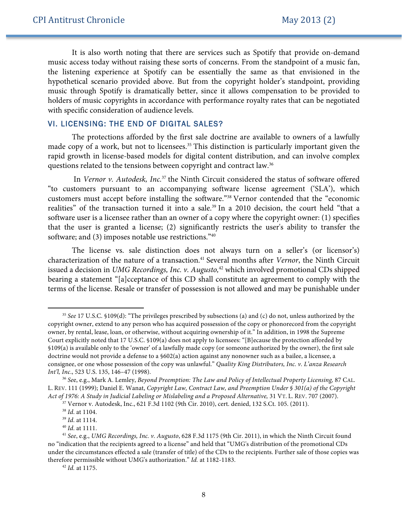It is also worth noting that there are services such as Spotify that provide on-demand music access today without raising these sorts of concerns. From the standpoint of a music fan, the listening experience at Spotify can be essentially the same as that envisioned in the hypothetical scenario provided above. But from the copyright holder's standpoint, providing music through Spotify is dramatically better, since it allows compensation to be provided to holders of music copyrights in accordance with performance royalty rates that can be negotiated with specific consideration of audience levels.

## VI. LICENSING: THE END OF DIGITAL SALES?

The protections afforded by the first sale doctrine are available to owners of a lawfully made copy of a work, but not to licensees.<sup>35</sup> This distinction is particularly important given the rapid growth in license-based models for digital content distribution, and can involve complex questions related to the tensions between copyright and contract law.36

In *Vernor v. Autodesk, Inc.*<sup>37</sup> the Ninth Circuit considered the status of software offered "to customers pursuant to an accompanying software license agreement ('SLA'), which customers must accept before installing the software."38 Vernor contended that the "economic realities" of the transaction turned it into a sale.<sup>39</sup> In a 2010 decision, the court held "that a software user is a licensee rather than an owner of a copy where the copyright owner: (1) specifies that the user is granted a license; (2) significantly restricts the user's ability to transfer the software; and (3) imposes notable use restrictions."40

The license vs. sale distinction does not always turn on a seller's (or licensor's) characterization of the nature of a transaction.<sup>41</sup> Several months after *Vernor*, the Ninth Circuit issued a decision in *UMG Recordings, Inc. v. Augusto*,<sup>42</sup> which involved promotional CDs shipped bearing a statement "[a]cceptance of this CD shall constitute an agreement to comply with the terms of the license. Resale or transfer of possession is not allowed and may be punishable under

<sup>35</sup> *See* 17 U.S.C. §109(d): "The privileges prescribed by subsections (a) and (c) do not, unless authorized by the copyright owner, extend to any person who has acquired possession of the copy or phonorecord from the copyright owner, by rental, lease, loan, or otherwise, without acquiring ownership of it." In addition, in 1998 the Supreme Court explicitly noted that 17 U.S.C. §109(a) does not apply to licensees: "[B]ecause the protection afforded by §109(a) is available only to the 'owner' of a lawfully made copy (or someone authorized by the owner), the first sale doctrine would not provide a defense to a §602(a) action against any nonowner such as a bailee, a licensee, a consignee, or one whose possession of the copy was unlawful." *Quality King Distributors, Inc. v. L'anza Research Int'l, Inc*., 523 U.S. 135, 146–47 (1998).

<sup>36</sup> *Se*e, e.g., Mark A. Lemley, *Beyond Preemption: The Law and Policy of Intellectual Property Licensing,* 87 CAL. L. REV. 111 (1999); Daniel E. Wanat, *Copyright Law, Contract Law, and Preemption Under § 301(a) of the Copyright Act of 1976: A Study in Judicial Labeling or Mislabeling and a Proposed Alternative,* 31 VT. L. REV. 707 (2007).

<sup>37</sup> Vernor v. Autodesk, Inc., 621 F.3d 1102 (9th Cir. 2010), cert. denied, 132 S.Ct. 105. (2011).

<sup>38</sup> *Id*. at 1104.

<sup>39</sup> *Id*. at 1114.

<sup>40</sup> *Id*. at 1111.

<sup>41</sup> *See*, e.g., *UMG Recordings, Inc. v. Augusto*, 628 F.3d 1175 (9th Cir. 2011), in which the Ninth Circuit found no "indication that the recipients agreed to a license" and held that "UMG's distribution of the promotional CDs under the circumstances effected a sale (transfer of title) of the CDs to the recipients. Further sale of those copies was therefore permissible without UMG's authorization." *Id.* at 1182-1183.

<sup>42</sup> *Id.* at 1175.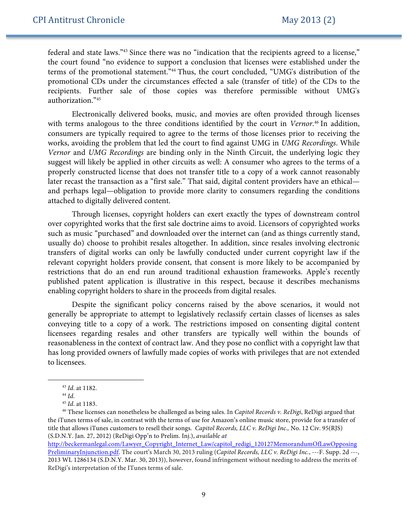federal and state laws."43 Since there was no "indication that the recipients agreed to a license," the court found "no evidence to support a conclusion that licenses were established under the terms of the promotional statement."<sup>44</sup> Thus, the court concluded, "UMG's distribution of the promotional CDs under the circumstances effected a sale (transfer of title) of the CDs to the recipients. Further sale of those copies was therefore permissible without UMG's authorization."45

Electronically delivered books, music, and movies are often provided through licenses with terms analogous to the three conditions identified by the court in *Vernor*. <sup>46</sup> In addition, consumers are typically required to agree to the terms of those licenses prior to receiving the works, avoiding the problem that led the court to find against UMG in *UMG Recordings*. While *Vernor* and *UMG Recordings* are binding only in the Ninth Circuit, the underlying logic they suggest will likely be applied in other circuits as well: A consumer who agrees to the terms of a properly constructed license that does not transfer title to a copy of a work cannot reasonably later recast the transaction as a "first sale." That said, digital content providers have an ethical and perhaps legal—obligation to provide more clarity to consumers regarding the conditions attached to digitally delivered content.

Through licenses, copyright holders can exert exactly the types of downstream control over copyrighted works that the first sale doctrine aims to avoid. Licensors of copyrighted works such as music "purchased" and downloaded over the internet can (and as things currently stand, usually do) choose to prohibit resales altogether. In addition, since resales involving electronic transfers of digital works can only be lawfully conducted under current copyright law if the relevant copyright holders provide consent, that consent is more likely to be accompanied by restrictions that do an end run around traditional exhaustion frameworks. Apple's recently published patent application is illustrative in this respect, because it describes mechanisms enabling copyright holders to share in the proceeds from digital resales.

Despite the significant policy concerns raised by the above scenarios, it would not generally be appropriate to attempt to legislatively reclassify certain classes of licenses as sales conveying title to a copy of a work. The restrictions imposed on consenting digital content licensees regarding resales and other transfers are typically well within the bounds of reasonableness in the context of contract law. And they pose no conflict with a copyright law that has long provided owners of lawfully made copies of works with privileges that are not extended to licensees.

<sup>43</sup> *Id*. at 1182.

<sup>44</sup> *Id*.

<sup>45</sup> *Id*. at 1183.

<sup>46</sup> These licenses can nonetheless be challenged as being sales. In *Capitol Records v. ReDigi*, ReDigi argued that the iTunes terms of sale, in contrast with the terms of use for Amazon's online music store, provide for a transfer of title that allows iTunes customers to resell their songs. *Capitol Records, LLC v. ReDigi Inc.,* No. 12 Civ. 95(RJS) (S.D.N.Y. Jan. 27, 2012) (ReDigi Opp'n to Prelim. Inj.), *available at* 

http://beckermanlegal.com/Lawyer\_Copyright\_Internet\_Law/capitol\_redigi\_120127MemorandumOfLawOpposing PreliminaryInjunction.pdf. The court's March 30, 2013 ruling (*Capitol Records, LLC v. ReDigi Inc.*, ---F. Supp. 2d ---, 2013 WL 1286134 (S.D.N.Y. Mar. 30, 2013)), however, found infringement without needing to address the merits of ReDigi's interpretation of the ITunes terms of sale.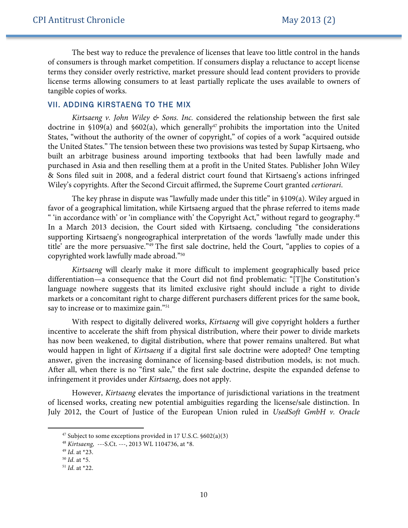The best way to reduce the prevalence of licenses that leave too little control in the hands of consumers is through market competition. If consumers display a reluctance to accept license terms they consider overly restrictive, market pressure should lead content providers to provide license terms allowing consumers to at least partially replicate the uses available to owners of tangible copies of works.

# VII. ADDING KIRSTAENG TO THE MIX

*Kirtsaeng v. John Wiley & Sons. Inc.* considered the relationship between the first sale doctrine in  $$109(a)$  and  $$602(a)$ , which generally<sup>47</sup> prohibits the importation into the United States, "without the authority of the owner of copyright," of copies of a work "acquired outside the United States." The tension between these two provisions was tested by Supap Kirtsaeng, who built an arbitrage business around importing textbooks that had been lawfully made and purchased in Asia and then reselling them at a profit in the United States. Publisher John Wiley & Sons filed suit in 2008, and a federal district court found that Kirtsaeng's actions infringed Wiley's copyrights. After the Second Circuit affirmed, the Supreme Court granted *certiorari*.

The key phrase in dispute was "lawfully made under this title" in §109(a). Wiley argued in favor of a geographical limitation, while Kirtsaeng argued that the phrase referred to items made " 'in accordance with' or 'in compliance with' the Copyright Act," without regard to geography.<sup>48</sup> In a March 2013 decision, the Court sided with Kirtsaeng, concluding "the considerations supporting Kirtsaeng's nongeographical interpretation of the words 'lawfully made under this title' are the more persuasive."49 The first sale doctrine, held the Court, "applies to copies of a copyrighted work lawfully made abroad."50

*Kirtsaeng* will clearly make it more difficult to implement geographically based price differentiation—a consequence that the Court did not find problematic: "[T]he Constitution's language nowhere suggests that its limited exclusive right should include a right to divide markets or a concomitant right to charge different purchasers different prices for the same book, say to increase or to maximize gain."<sup>51</sup>

With respect to digitally delivered works, *Kirtsaeng* will give copyright holders a further incentive to accelerate the shift from physical distribution, where their power to divide markets has now been weakened, to digital distribution, where that power remains unaltered. But what would happen in light of *Kirtsaeng* if a digital first sale doctrine were adopted? One tempting answer, given the increasing dominance of licensing-based distribution models, is: not much. After all, when there is no "first sale," the first sale doctrine, despite the expanded defense to infringement it provides under *Kirtsaeng*, does not apply.

However, *Kirtsaeng* elevates the importance of jurisdictional variations in the treatment of licensed works, creating new potential ambiguities regarding the license/sale distinction. In July 2012, the Court of Justice of the European Union ruled in *UsedSoft GmbH v. Oracle* 

 $47$  Subject to some exceptions provided in 17 U.S.C.  $602(a)(3)$ 

<sup>48</sup> *Kirtsaeng,* ---S.Ct. ---, 2013 WL 1104736, at \*8.

<sup>49</sup> *Id*. at \*23.

<sup>50</sup> *Id*. at \*5.

<sup>51</sup> *Id*. at \*22.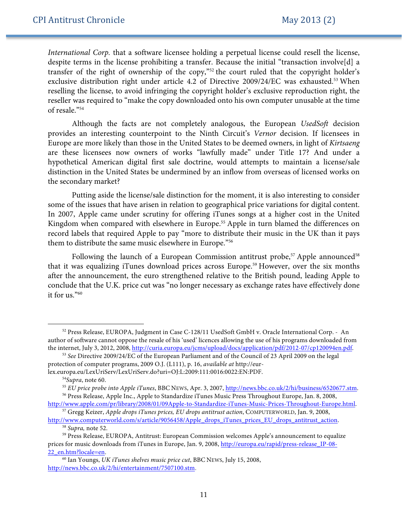*International Corp.* that a software licensee holding a perpetual license could resell the license, despite terms in the license prohibiting a transfer. Because the initial "transaction involve[d] a transfer of the right of ownership of the copy,"52 the court ruled that the copyright holder's exclusive distribution right under article 4.2 of Directive 2009/24/EC was exhausted.<sup>53</sup> When reselling the license, to avoid infringing the copyright holder's exclusive reproduction right, the reseller was required to "make the copy downloaded onto his own computer unusable at the time of resale."54

Although the facts are not completely analogous, the European *UsedSoft* decision provides an interesting counterpoint to the Ninth Circuit's *Vernor* decision. If licensees in Europe are more likely than those in the United States to be deemed owners, in light of *Kirtsaeng* are these licensees now owners of works "lawfully made" under Title 17? And under a hypothetical American digital first sale doctrine, would attempts to maintain a license/sale distinction in the United States be undermined by an inflow from overseas of licensed works on the secondary market?

Putting aside the license/sale distinction for the moment, it is also interesting to consider some of the issues that have arisen in relation to geographical price variations for digital content. In 2007, Apple came under scrutiny for offering iTunes songs at a higher cost in the United Kingdom when compared with elsewhere in Europe.<sup>55</sup> Apple in turn blamed the differences on record labels that required Apple to pay "more to distribute their music in the UK than it pays them to distribute the same music elsewhere in Europe."56

Following the launch of a European Commission antitrust probe,<sup>57</sup> Apple announced<sup>58</sup> that it was equalizing iTunes download prices across Europe.<sup>59</sup> However, over the six months after the announcement, the euro strengthened relative to the British pound, leading Apple to conclude that the U.K. price cut was "no longer necessary as exchange rates have effectively done it for us."60

<sup>52</sup> Press Release, EUROPA, Judgment in Case C-128/11 UsedSoft GmbH v. Oracle International Corp. - An author of software cannot oppose the resale of his 'used' licences allowing the use of his programs downloaded from the internet, July 3, 2012, 2008, http://curia.europa.eu/jcms/upload/docs/application/pdf/2012-07/cp120094en.pdf. 53 *See* Directive 2009/24/EC of the European Parliament and of the Council of 23 April 2009 on the legal

protection of computer programs, 2009 O.J. (L111), p. 16, *available at* http://eurlex.europa.eu/LexUriServ/LexUriServ.do?uri=OJ:L:2009:111:0016:0022:EN:PDF.

<sup>54</sup>*Supra*, note 60.

<sup>55</sup> *EU price probe into Apple iTunes*, BBC NEWS, Apr. 3, 2007, http://news.bbc.co.uk/2/hi/business/6520677.stm. <sup>56</sup> Press Release, Apple Inc., Apple to Standardize iTunes Music Press Throughout Europe, Jan. 8, 2008,

http://www.apple.com/pr/library/2008/01/09Apple-to-Standardize-iTunes-Music-Prices-Throughout-Europe.html. 57 Gregg Keizer, *Apple drops iTunes prices, EU drops antitrust action*, COMPUTERWORLD, Jan. 9, 2008,

<sup>&</sup>lt;sup>58</sup> Supra, note 52.<br><sup>59</sup> Press Release, EUROPA, Antitrust: European Commission welcomes Apple's announcement to equalize prices for music downloads from iTunes in Europe, Jan. 9, 2008, http://europa.eu/rapid/press-release\_IP-08- 22\_en.htm?locale=en.

<sup>60</sup> Ian Youngs, *UK iTunes shelves music price cut*, BBC NEWS, July 15, 2008, http://news.bbc.co.uk/2/hi/entertainment/7507100.stm.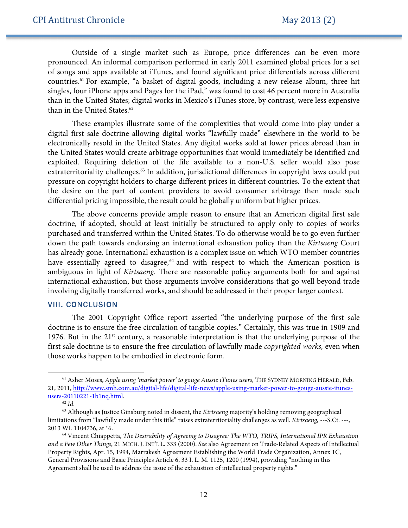Outside of a single market such as Europe, price differences can be even more pronounced. An informal comparison performed in early 2011 examined global prices for a set of songs and apps available at iTunes, and found significant price differentials across different countries. <sup>61</sup> For example, "a basket of digital goods, including a new release album, three hit singles, four iPhone apps and Pages for the iPad," was found to cost 46 percent more in Australia than in the United States; digital works in Mexico's iTunes store, by contrast, were less expensive than in the United States.<sup>62</sup>

These examples illustrate some of the complexities that would come into play under a digital first sale doctrine allowing digital works "lawfully made" elsewhere in the world to be electronically resold in the United States. Any digital works sold at lower prices abroad than in the United States would create arbitrage opportunities that would immediately be identified and exploited. Requiring deletion of the file available to a non-U.S. seller would also pose extraterritoriality challenges.<sup>63</sup> In addition, jurisdictional differences in copyright laws could put pressure on copyright holders to charge different prices in different countries. To the extent that the desire on the part of content providers to avoid consumer arbitrage then made such differential pricing impossible, the result could be globally uniform but higher prices.

The above concerns provide ample reason to ensure that an American digital first sale doctrine, if adopted, should at least initially be structured to apply only to copies of works purchased and transferred within the United States. To do otherwise would be to go even further down the path towards endorsing an international exhaustion policy than the *Kirtsaeng* Court has already gone. International exhaustion is a complex issue on which WTO member countries have essentially agreed to disagree,<sup>64</sup> and with respect to which the American position is ambiguous in light of *Kirtsaeng.* There are reasonable policy arguments both for and against international exhaustion, but those arguments involve considerations that go well beyond trade involving digitally transferred works, and should be addressed in their proper larger context.

#### VIII. CONCLUSION

The 2001 Copyright Office report asserted "the underlying purpose of the first sale doctrine is to ensure the free circulation of tangible copies." Certainly, this was true in 1909 and 1976. But in the  $21<sup>st</sup>$  century, a reasonable interpretation is that the underlying purpose of the first sale doctrine is to ensure the free circulation of lawfully made *copyrighted works,* even when those works happen to be embodied in electronic form.

<sup>61</sup> Asher Moses, *Apple using 'market power' to gouge Aussie iTunes users*, THE SYDNEY MORNING HERALD, Feb. 21, 2011, http://www.smh.com.au/digital-life/digital-life-news/apple-using-market-power-to-gouge-aussie-itunesusers-20110221-1b1nq.html. 62 *Id*.

<sup>63</sup> Although as Justice Ginsburg noted in dissent, the *Kirtsaeng* majority's holding removing geographical limitations from "lawfully made under this title" raises extraterritoriality challenges as well. *Kirtsaeng*, ---S.Ct. ---, 2013 WL 1104736, at \*6.

<sup>64</sup> Vincent Chiappetta, *The Desirability of Agreeing to Disagree: The WTO, TRIPS, International IPR Exhaustion and a Few Other Things*, 21 MICH. J. INT'L L. 333 (2000). *See* also Agreement on Trade-Related Aspects of Intellectual Property Rights, Apr. 15, 1994, Marrakesh Agreement Establishing the World Trade Organization, Annex 1C, General Provisions and Basic Principles Article 6, 33 I. L. M. 1125, 1200 (1994), providing "nothing in this Agreement shall be used to address the issue of the exhaustion of intellectual property rights."